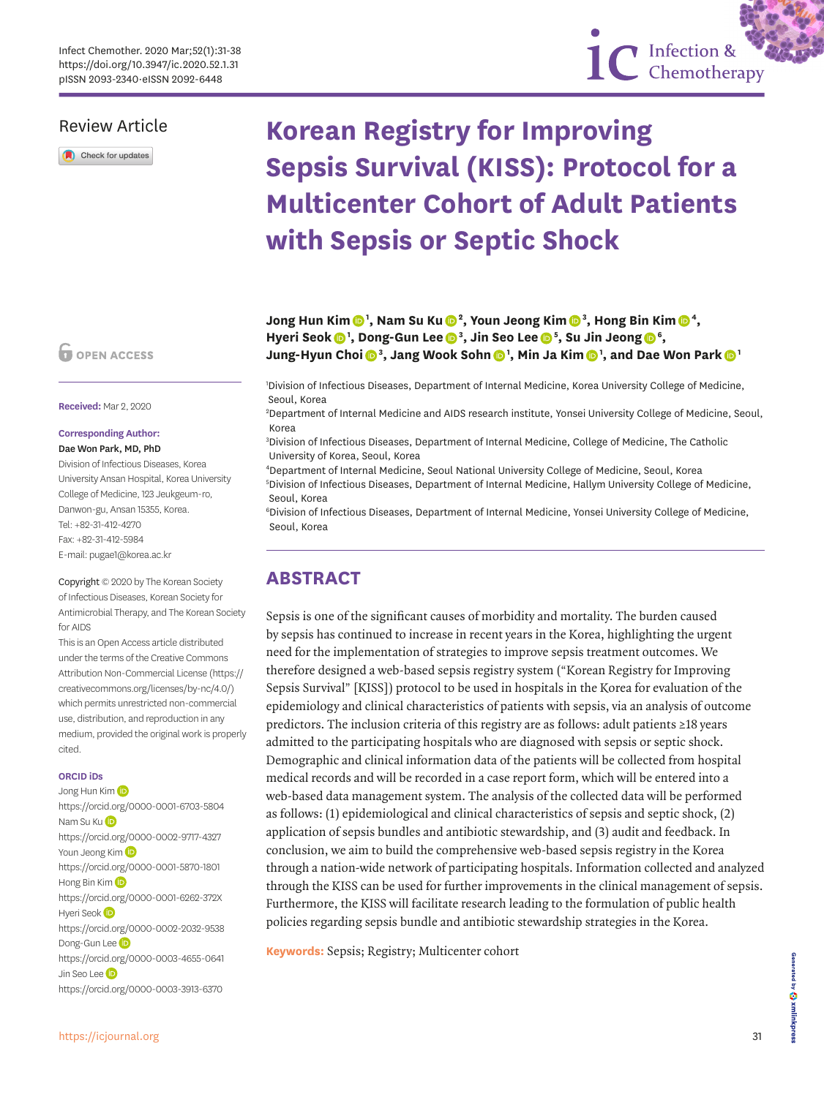## Review Article

Check for updates

# **Korean Registry for Improving Sepsis Survival (KISS): Protocol for a Multicenter Cohort of Adult Patients with Sepsis or Septic Shock**

1C Infection &

**Jong Hun Ki[m](https://orcid.org/0000-0001-6703-5804) <sup>1</sup> , Nam Su K[u](https://orcid.org/0000-0002-9717-4327) <sup>2</sup> , Youn Jeong Ki[m](https://orcid.org/0000-0001-5870-1801) <sup>3</sup> , Hong Bin Ki[m](https://orcid.org/0000-0001-6262-372X) <sup>4</sup> ,**  Hyeri Seo[k](https://orcid.org/0000-0002-2032-9538)  $\bullet$ <sup>1</sup>, Dong-Gun Lee  $\bullet$ <sup>[3](https://orcid.org/0000-0003-4655-0641)</sup>, Jin Seo Lee  $\bullet$ <sup>[5](https://orcid.org/0000-0003-3913-6370)</sup>, Su Jin Jeong  $\bullet$ <sup>[6](https://orcid.org/0000-0003-4025-4542)</sup>, **Jung-Hyun Choi [3](https://orcid.org/0000-0001-6941-463X) , Jang Wook Sohn [1](https://orcid.org/0000-0003-4792-0456) , Min Ja Ki[m](https://orcid.org/0000-0002-2125-7521) <sup>1</sup> , and Dae Won Park [1](https://orcid.org/0000-0002-7653-686X)**

1 Division of Infectious Diseases, Department of Internal Medicine, Korea University College of Medicine, Seoul, Korea

2 Department of Internal Medicine and AIDS research institute, Yonsei University College of Medicine, Seoul, Korea

3 Division of Infectious Diseases, Department of Internal Medicine, College of Medicine, The Catholic University of Korea, Seoul, Korea

4 Department of Internal Medicine, Seoul National University College of Medicine, Seoul, Korea 5 Division of Infectious Diseases, Department of Internal Medicine, Hallym University College of Medicine, Seoul, Korea

6 Division of Infectious Diseases, Department of Internal Medicine, Yonsei University College of Medicine, Seoul, Korea

# **ABSTRACT**

Sepsis is one of the significant causes of morbidity and mortality. The burden caused by sepsis has continued to increase in recent years in the Korea, highlighting the urgent need for the implementation of strategies to improve sepsis treatment outcomes. We therefore designed a web-based sepsis registry system ("Korean Registry for Improving Sepsis Survival" [KISS]) protocol to be used in hospitals in the Korea for evaluation of the epidemiology and clinical characteristics of patients with sepsis, via an analysis of outcome predictors. The inclusion criteria of this registry are as follows: adult patients ≥18 years admitted to the participating hospitals who are diagnosed with sepsis or septic shock. Demographic and clinical information data of the patients will be collected from hospital medical records and will be recorded in a case report form, which will be entered into a web-based data management system. The analysis of the collected data will be performed as follows: (1) epidemiological and clinical characteristics of sepsis and septic shock, (2) application of sepsis bundles and antibiotic stewardship, and (3) audit and feedback. In conclusion, we aim to build the comprehensive web-based sepsis registry in the Korea through a nation-wide network of participating hospitals. Information collected and analyzed through the KISS can be used for further improvements in the clinical management of sepsis. Furthermore, the KISS will facilitate research leading to the formulation of public health policies regarding sepsis bundle and antibiotic stewardship strategies in the Korea.

**Keywords:** Sepsis; Registry; Multicenter cohort

**Corresponding Author:** Dae Won Park, MD, PhD Division of Infectious Diseases, Korea University Ansan Hospital, Korea University College of Medicine, 123 Jeukgeum-ro, Danwon-gu, Ansan 15355, Korea. Tel: +82-31-412-4270

**Received:** Mar 2, 2020

O OPEN ACCESS

Fax: +82-31-412-5984 E-mail: pugae1@korea.ac.kr

Copyright © 2020 by The Korean Society of Infectious Diseases, Korean Society for Antimicrobial Therapy, and The Korean Society for AIDS

This is an Open Access article distributed under the terms of the Creative Commons Attribution Non-Commercial License ([https://](https://creativecommons.org/licenses/by-nc/4.0/) [creativecommons.org/licenses/by-nc/4.0/\)](https://creativecommons.org/licenses/by-nc/4.0/) which permits unrestricted non-commercial use, distribution, and reproduction in any medium, provided the original work is properly cited.

#### **ORCID iDs**

Jong Hun Kim <https://orcid.org/0000-0001-6703-5804> Nam S[u](https://orcid.org/0000-0002-9717-4327) Ku D <https://orcid.org/0000-0002-9717-4327> Youn Jeong Ki[m](https://orcid.org/0000-0001-5870-1801) (ip <https://orcid.org/0000-0001-5870-1801> Hong Bin Ki[m](https://orcid.org/0000-0001-6262-372X) D <https://orcid.org/0000-0001-6262-372X> Hyeri Seok<sup>(D</sup> <https://orcid.org/0000-0002-2032-9538> Dong-Gun Lee<sup>D</sup> <https://orcid.org/0000-0003-4655-0641> Jin Seo Le[e](https://orcid.org/0000-0003-3913-6370) D <https://orcid.org/0000-0003-3913-6370>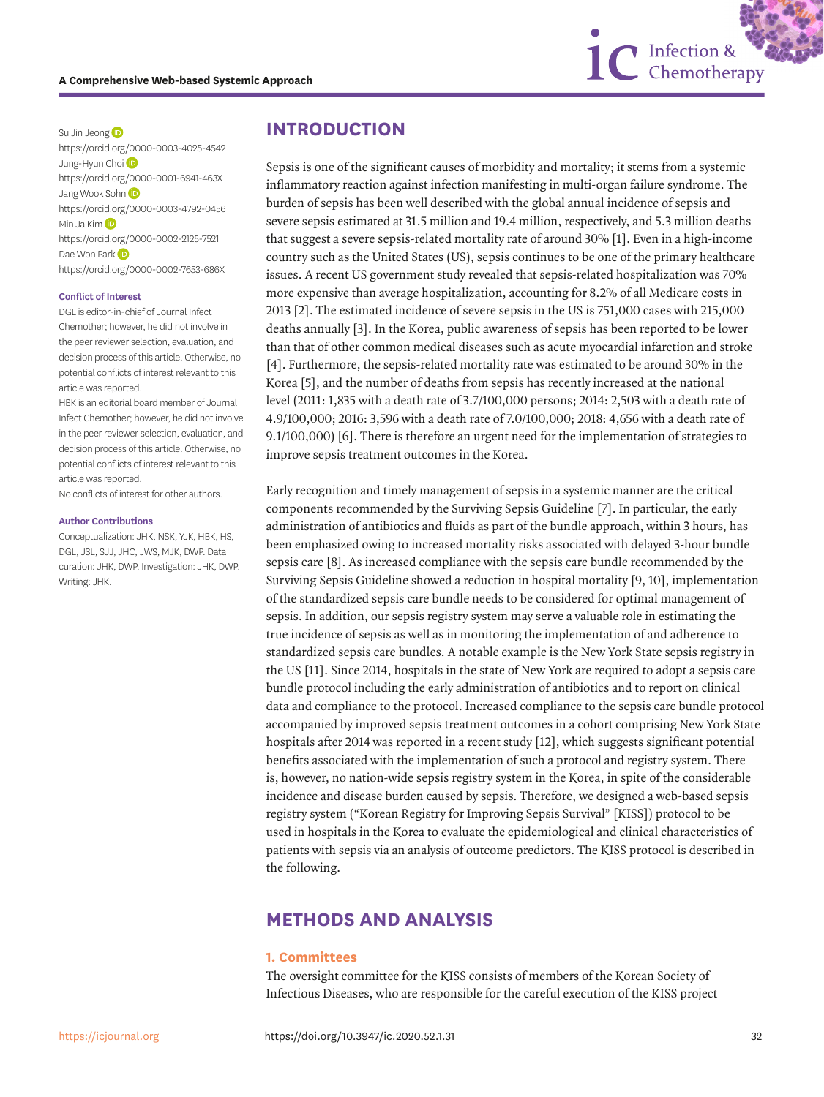

Su Jin Jeong<sup>D</sup> <https://orcid.org/0000-0003-4025-4542> Jung-Hyun Choi<sup>D</sup> <https://orcid.org/0000-0001-6941-463X> Jang Wook Sohn <https://orcid.org/0000-0003-4792-0456> Min Ja Ki[m](https://orcid.org/0000-0002-2125-7521) **D** <https://orcid.org/0000-0002-2125-7521> Dae Won Park <https://orcid.org/0000-0002-7653-686X>

#### **Conflict of Interest**

DGL is editor-in-chief of Journal Infect Chemother; however, he did not involve in the peer reviewer selection, evaluation, and decision process of this article. Otherwise, no potential conflicts of interest relevant to this article was reported.

HBK is an editorial board member of Journal Infect Chemother; however, he did not involve in the peer reviewer selection, evaluation, and decision process of this article. Otherwise, no potential conflicts of interest relevant to this article was reported.

No conflicts of interest for other authors.

#### **Author Contributions**

Conceptualization: JHK, NSK, YJK, HBK, HS, DGL, JSL, SJJ, JHC, JWS, MJK, DWP. Data curation: JHK, DWP. Investigation: JHK, DWP. Writing: JHK.

## **INTRODUCTION**

<span id="page-1-2"></span><span id="page-1-1"></span><span id="page-1-0"></span>Sepsis is one of the significant causes of morbidity and mortality; it stems from a systemic inflammatory reaction against infection manifesting in multi-organ failure syndrome. The burden of sepsis has been well described with the global annual incidence of sepsis and severe sepsis estimated at 31.5 million and 19.4 million, respectively, and 5.3 million deaths that suggest a severe sepsis-related mortality rate of around 30% [[1\]](#page-6-0). Even in a high-income country such as the United States (US), sepsis continues to be one of the primary healthcare issues. A recent US government study revealed that sepsis-related hospitalization was 70% more expensive than average hospitalization, accounting for 8.2% of all Medicare costs in 2013 [[2](#page-6-1)]. The estimated incidence of severe sepsis in the US is 751,000 cases with 215,000 deaths annually [\[3\]](#page-6-2). In the Korea, public awareness of sepsis has been reported to be lower than that of other common medical diseases such as acute myocardial infarction and stroke [[4\]](#page-6-3). Furthermore, the sepsis-related mortality rate was estimated to be around 30% in the Korea [[5](#page-6-4)], and the number of deaths from sepsis has recently increased at the national level (2011: 1,835 with a death rate of 3.7/100,000 persons; 2014: 2,503 with a death rate of 4.9/100,000; 2016: 3,596 with a death rate of 7.0/100,000; 2018: 4,656 with a death rate of 9.1/100,000) [[6](#page-6-5)]. There is therefore an urgent need for the implementation of strategies to improve sepsis treatment outcomes in the Korea.

<span id="page-1-8"></span><span id="page-1-7"></span><span id="page-1-6"></span><span id="page-1-5"></span><span id="page-1-4"></span><span id="page-1-3"></span>Early recognition and timely management of sepsis in a systemic manner are the critical components recommended by the Surviving Sepsis Guideline [[7](#page-6-6)]. In particular, the early administration of antibiotics and fluids as part of the bundle approach, within 3 hours, has been emphasized owing to increased mortality risks associated with delayed 3-hour bundle sepsis care [\[8\]](#page-7-0). As increased compliance with the sepsis care bundle recommended by the Surviving Sepsis Guideline showed a reduction in hospital mortality [\[9](#page-7-1), [10\]](#page-7-2), implementation of the standardized sepsis care bundle needs to be considered for optimal management of sepsis. In addition, our sepsis registry system may serve a valuable role in estimating the true incidence of sepsis as well as in monitoring the implementation of and adherence to standardized sepsis care bundles. A notable example is the New York State sepsis registry in the US [\[11](#page-7-3)]. Since 2014, hospitals in the state of New York are required to adopt a sepsis care bundle protocol including the early administration of antibiotics and to report on clinical data and compliance to the protocol. Increased compliance to the sepsis care bundle protocol accompanied by improved sepsis treatment outcomes in a cohort comprising New York State hospitals after 2014 was reported in a recent study [\[12\]](#page-7-4), which suggests significant potential benefits associated with the implementation of such a protocol and registry system. There is, however, no nation-wide sepsis registry system in the Korea, in spite of the considerable incidence and disease burden caused by sepsis. Therefore, we designed a web-based sepsis registry system ("Korean Registry for Improving Sepsis Survival" [KISS]) protocol to be used in hospitals in the Korea to evaluate the epidemiological and clinical characteristics of patients with sepsis via an analysis of outcome predictors. The KISS protocol is described in the following.

## **METHODS AND ANALYSIS**

#### **1. Committees**

The oversight committee for the KISS consists of members of the Korean Society of Infectious Diseases, who are responsible for the careful execution of the KISS project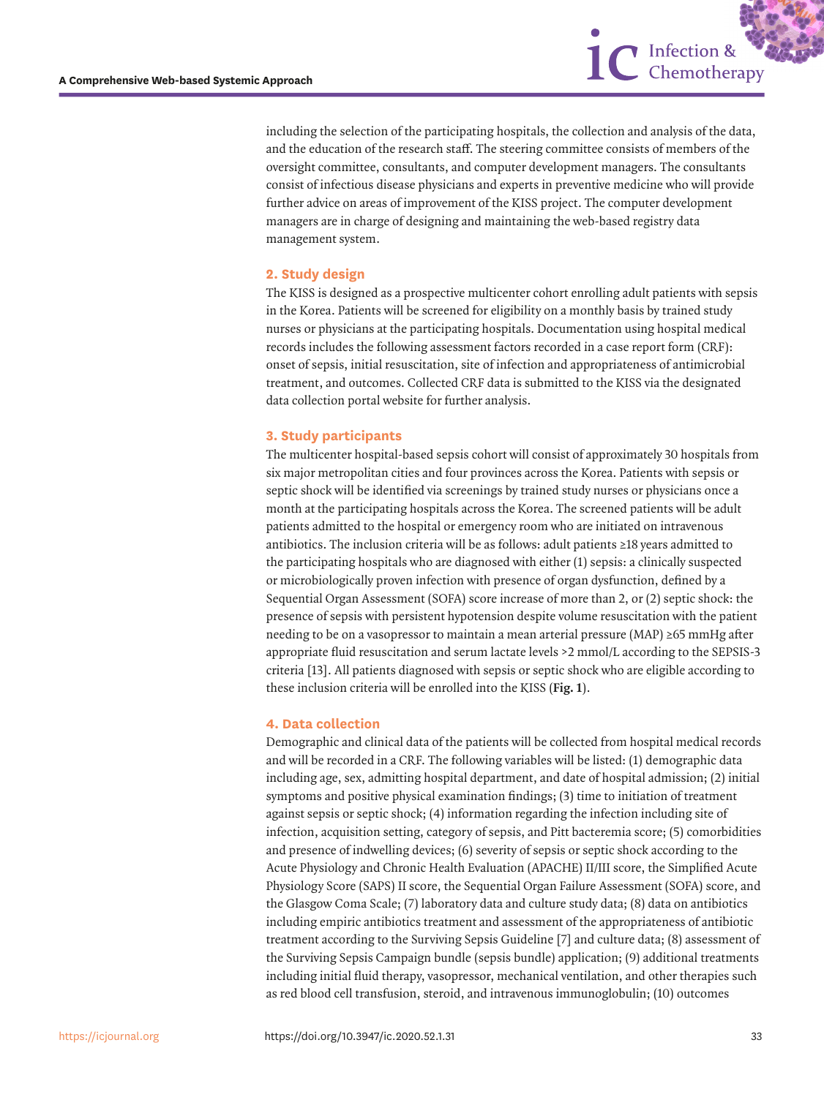including the selection of the participating hospitals, the collection and analysis of the data, and the education of the research staff. The steering committee consists of members of the oversight committee, consultants, and computer development managers. The consultants consist of infectious disease physicians and experts in preventive medicine who will provide further advice on areas of improvement of the KISS project. The computer development managers are in charge of designing and maintaining the web-based registry data management system.

1C Infection &

#### **2. Study design**

The KISS is designed as a prospective multicenter cohort enrolling adult patients with sepsis in the Korea. Patients will be screened for eligibility on a monthly basis by trained study nurses or physicians at the participating hospitals. Documentation using hospital medical records includes the following assessment factors recorded in a case report form (CRF): onset of sepsis, initial resuscitation, site of infection and appropriateness of antimicrobial treatment, and outcomes. Collected CRF data is submitted to the KISS via the designated data collection portal website for further analysis.

### **3. Study participants**

The multicenter hospital-based sepsis cohort will consist of approximately 30 hospitals from six major metropolitan cities and four provinces across the Korea. Patients with sepsis or septic shock will be identified via screenings by trained study nurses or physicians once a month at the participating hospitals across the Korea. The screened patients will be adult patients admitted to the hospital or emergency room who are initiated on intravenous antibiotics. The inclusion criteria will be as follows: adult patients ≥18 years admitted to the participating hospitals who are diagnosed with either (1) sepsis: a clinically suspected or microbiologically proven infection with presence of organ dysfunction, defined by a Sequential Organ Assessment (SOFA) score increase of more than 2, or (2) septic shock: the presence of sepsis with persistent hypotension despite volume resuscitation with the patient needing to be on a vasopressor to maintain a mean arterial pressure (MAP) ≥65 mmHg after appropriate fluid resuscitation and serum lactate levels >2 mmol/L according to the SEPSIS-3 criteria [\[13\]](#page-7-5). All patients diagnosed with sepsis or septic shock who are eligible according to these inclusion criteria will be enrolled into the KISS (**[Fig. 1](#page-3-0)**).

### <span id="page-2-1"></span>**4. Data collection**

<span id="page-2-0"></span>Demographic and clinical data of the patients will be collected from hospital medical records and will be recorded in a CRF. The following variables will be listed: (1) demographic data including age, sex, admitting hospital department, and date of hospital admission; (2) initial symptoms and positive physical examination findings; (3) time to initiation of treatment against sepsis or septic shock; (4) information regarding the infection including site of infection, acquisition setting, category of sepsis, and Pitt bacteremia score; (5) comorbidities and presence of indwelling devices; (6) severity of sepsis or septic shock according to the Acute Physiology and Chronic Health Evaluation (APACHE) II/III score, the Simplified Acute Physiology Score (SAPS) II score, the Sequential Organ Failure Assessment (SOFA) score, and the Glasgow Coma Scale; (7) laboratory data and culture study data; (8) data on antibiotics including empiric antibiotics treatment and assessment of the appropriateness of antibiotic treatment according to the Surviving Sepsis Guideline [[7\]](#page-6-6) and culture data; (8) assessment of the Surviving Sepsis Campaign bundle (sepsis bundle) application; (9) additional treatments including initial fluid therapy, vasopressor, mechanical ventilation, and other therapies such as red blood cell transfusion, steroid, and intravenous immunoglobulin; (10) outcomes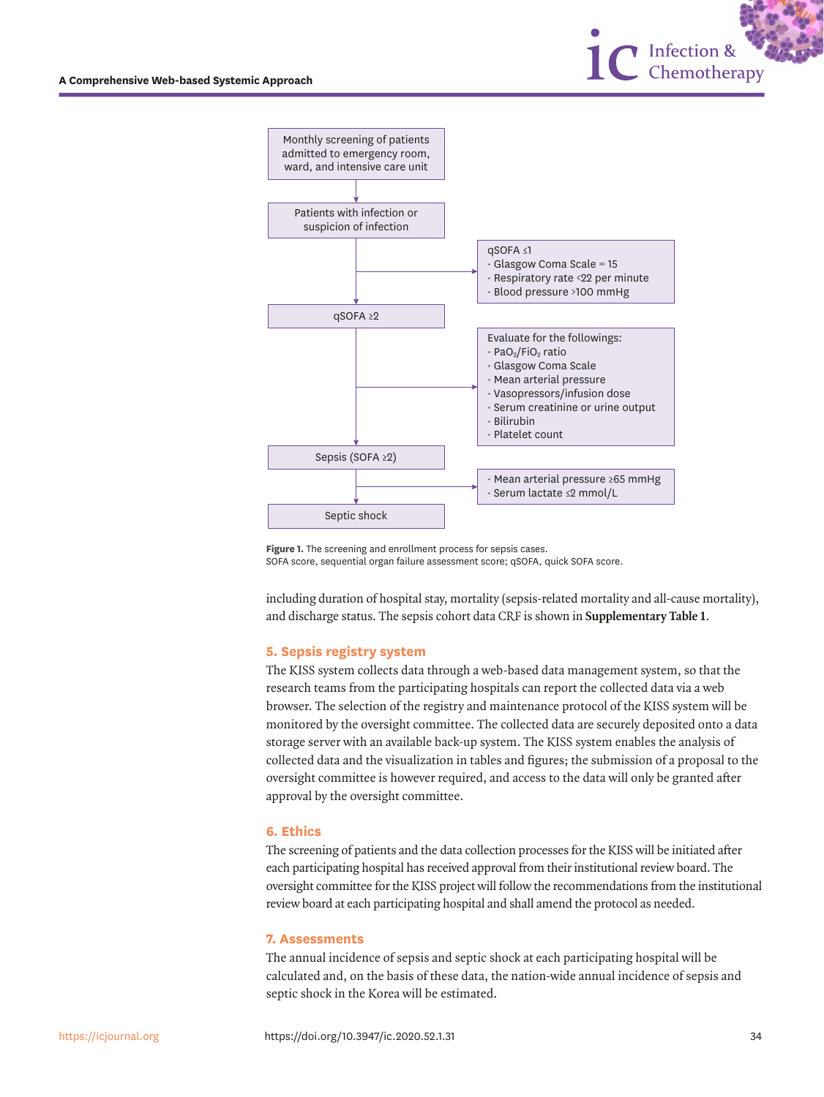



<span id="page-3-0"></span>**Figure 1.** The screening and enrollment process for sepsis cases. SOFA score, sequential organ failure assessment score; qSOFA, quick SOFA score.

including duration of hospital stay, mortality (sepsis-related mortality and all-cause mortality), and discharge status. The sepsis cohort data CRF is shown in **[Supplementary Table 1](#page-6-7)**.

#### **5. Sepsis registry system**

The KISS system collects data through a web-based data management system, so that the research teams from the participating hospitals can report the collected data via a web browser. The selection of the registry and maintenance protocol of the KISS system will be monitored by the oversight committee. The collected data are securely deposited onto a data storage server with an available back-up system. The KISS system enables the analysis of collected data and the visualization in tables and figures; the submission of a proposal to the oversight committee is however required, and access to the data will only be granted after approval by the oversight committee.

#### **6. Ethics**

The screening of patients and the data collection processes for the KISS will be initiated after each participating hospital has received approval from their institutional review board. The oversight committee for the KISS project will follow the recommendations from the institutional review board at each participating hospital and shall amend the protocol as needed.

#### **7. Assessments**

The annual incidence of sepsis and septic shock at each participating hospital will be calculated and, on the basis of these data, the nation-wide annual incidence of sepsis and septic shock in the Korea will be estimated.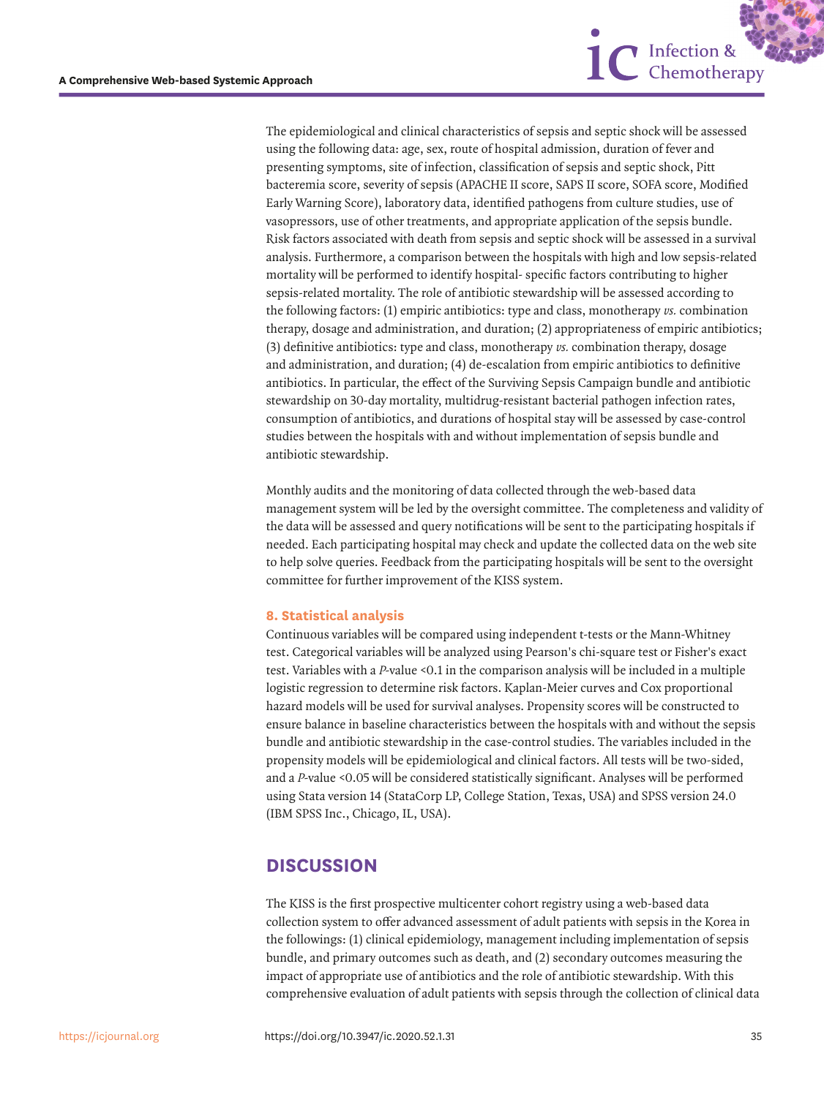

1C Infection &

Monthly audits and the monitoring of data collected through the web-based data management system will be led by the oversight committee. The completeness and validity of the data will be assessed and query notifications will be sent to the participating hospitals if needed. Each participating hospital may check and update the collected data on the web site to help solve queries. Feedback from the participating hospitals will be sent to the oversight committee for further improvement of the KISS system.

#### **8. Statistical analysis**

Continuous variables will be compared using independent t-tests or the Mann-Whitney test. Categorical variables will be analyzed using Pearson's chi-square test or Fisher's exact test. Variables with a *P*-value <0.1 in the comparison analysis will be included in a multiple logistic regression to determine risk factors. Kaplan-Meier curves and Cox proportional hazard models will be used for survival analyses. Propensity scores will be constructed to ensure balance in baseline characteristics between the hospitals with and without the sepsis bundle and antibiotic stewardship in the case-control studies. The variables included in the propensity models will be epidemiological and clinical factors. All tests will be two-sided, and a *P*-value <0.05 will be considered statistically significant. Analyses will be performed using Stata version 14 (StataCorp LP, College Station, Texas, USA) and SPSS version 24.0 (IBM SPSS Inc., Chicago, IL, USA).

## **DISCUSSION**

The KISS is the first prospective multicenter cohort registry using a web-based data collection system to offer advanced assessment of adult patients with sepsis in the Korea in the followings: (1) clinical epidemiology, management including implementation of sepsis bundle, and primary outcomes such as death, and (2) secondary outcomes measuring the impact of appropriate use of antibiotics and the role of antibiotic stewardship. With this comprehensive evaluation of adult patients with sepsis through the collection of clinical data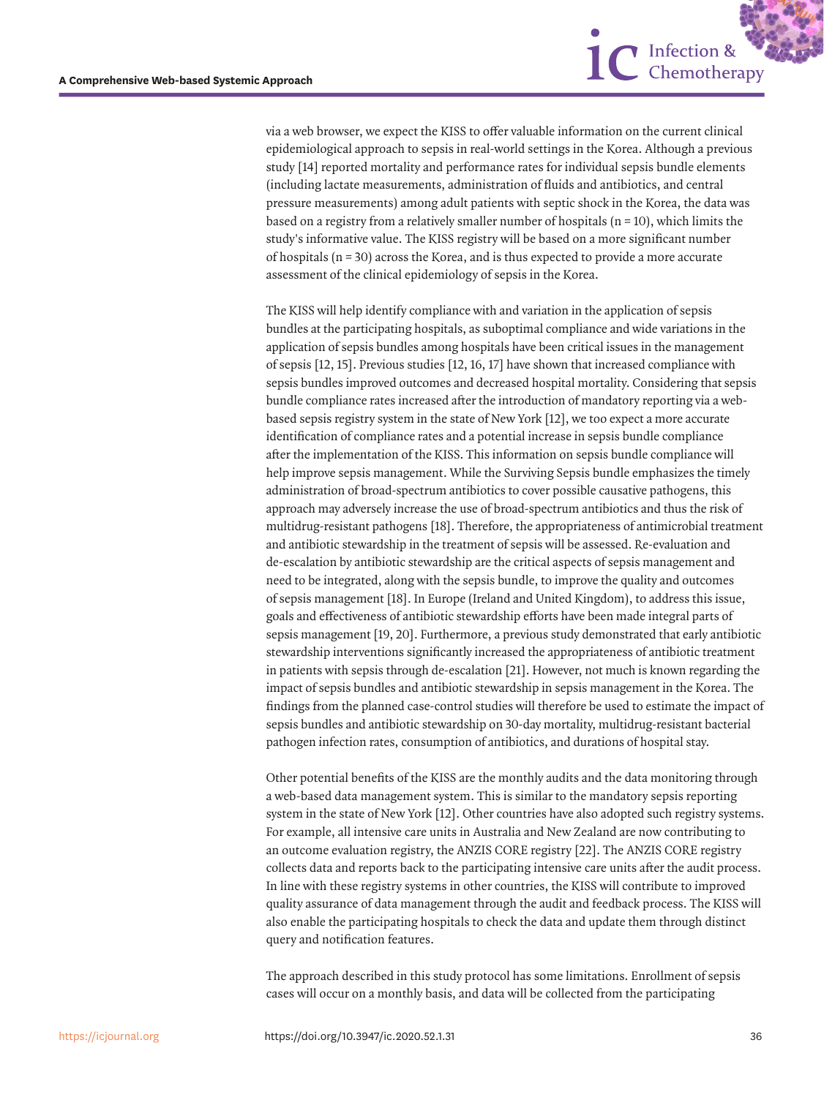

<span id="page-5-1"></span>via a web browser, we expect the KISS to offer valuable information on the current clinical epidemiological approach to sepsis in real-world settings in the Korea. Although a previous study [[14\]](#page-7-6) reported mortality and performance rates for individual sepsis bundle elements (including lactate measurements, administration of fluids and antibiotics, and central pressure measurements) among adult patients with septic shock in the Korea, the data was based on a registry from a relatively smaller number of hospitals  $(n = 10)$ , which limits the study's informative value. The KISS registry will be based on a more significant number of hospitals  $(n = 30)$  across the Korea, and is thus expected to provide a more accurate assessment of the clinical epidemiology of sepsis in the Korea.

<span id="page-5-2"></span>The KISS will help identify compliance with and variation in the application of sepsis bundles at the participating hospitals, as suboptimal compliance and wide variations in the application of sepsis bundles among hospitals have been critical issues in the management of sepsis [[12,](#page-7-4) [15\]](#page-7-7). Previous studies [\[12](#page-7-4), [16](#page-7-8), [17\]](#page-7-9) have shown that increased compliance with sepsis bundles improved outcomes and decreased hospital mortality. Considering that sepsis bundle compliance rates increased after the introduction of mandatory reporting via a webbased sepsis registry system in the state of New York [\[12](#page-7-4)], we too expect a more accurate identification of compliance rates and a potential increase in sepsis bundle compliance after the implementation of the KISS. This information on sepsis bundle compliance will help improve sepsis management. While the Surviving Sepsis bundle emphasizes the timely administration of broad-spectrum antibiotics to cover possible causative pathogens, this approach may adversely increase the use of broad-spectrum antibiotics and thus the risk of multidrug-resistant pathogens [\[18\]](#page-7-10). Therefore, the appropriateness of antimicrobial treatment and antibiotic stewardship in the treatment of sepsis will be assessed. Re-evaluation and de-escalation by antibiotic stewardship are the critical aspects of sepsis management and need to be integrated, along with the sepsis bundle, to improve the quality and outcomes of sepsis management [[18](#page-7-10)]. In Europe (Ireland and United Kingdom), to address this issue, goals and effectiveness of antibiotic stewardship efforts have been made integral parts of sepsis management [\[19,](#page-7-11) [20](#page-7-12)]. Furthermore, a previous study demonstrated that early antibiotic stewardship interventions significantly increased the appropriateness of antibiotic treatment in patients with sepsis through de-escalation [[21\]](#page-7-13). However, not much is known regarding the impact of sepsis bundles and antibiotic stewardship in sepsis management in the Korea. The findings from the planned case-control studies will therefore be used to estimate the impact of sepsis bundles and antibiotic stewardship on 30-day mortality, multidrug-resistant bacterial pathogen infection rates, consumption of antibiotics, and durations of hospital stay.

<span id="page-5-6"></span><span id="page-5-5"></span><span id="page-5-4"></span><span id="page-5-3"></span><span id="page-5-0"></span>Other potential benefits of the KISS are the monthly audits and the data monitoring through a web-based data management system. This is similar to the mandatory sepsis reporting system in the state of New York [[12](#page-7-4)]. Other countries have also adopted such registry systems. For example, all intensive care units in Australia and New Zealand are now contributing to an outcome evaluation registry, the ANZIS CORE registry [[22\]](#page-7-14). The ANZIS CORE registry collects data and reports back to the participating intensive care units after the audit process. In line with these registry systems in other countries, the KISS will contribute to improved quality assurance of data management through the audit and feedback process. The KISS will also enable the participating hospitals to check the data and update them through distinct query and notification features.

The approach described in this study protocol has some limitations. Enrollment of sepsis cases will occur on a monthly basis, and data will be collected from the participating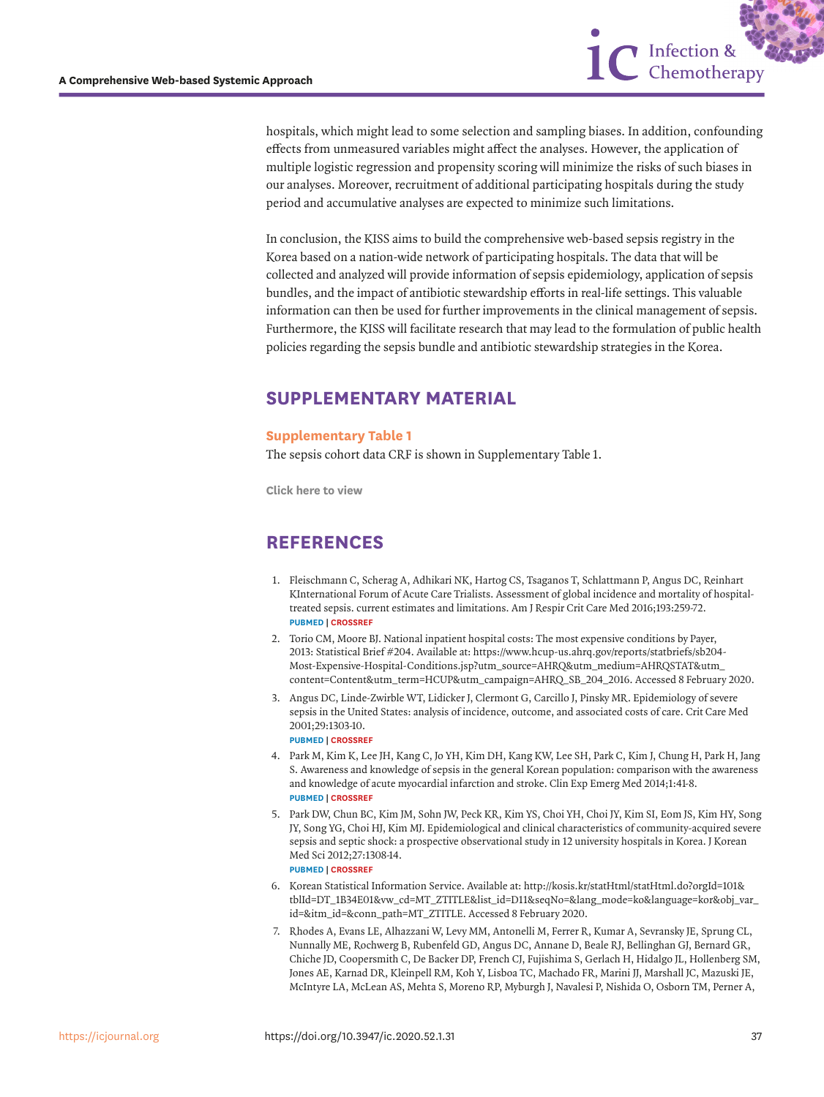hospitals, which might lead to some selection and sampling biases. In addition, confounding effects from unmeasured variables might affect the analyses. However, the application of multiple logistic regression and propensity scoring will minimize the risks of such biases in our analyses. Moreover, recruitment of additional participating hospitals during the study period and accumulative analyses are expected to minimize such limitations.

1C Infection &

In conclusion, the KISS aims to build the comprehensive web-based sepsis registry in the Korea based on a nation-wide network of participating hospitals. The data that will be collected and analyzed will provide information of sepsis epidemiology, application of sepsis bundles, and the impact of antibiotic stewardship efforts in real-life settings. This valuable information can then be used for further improvements in the clinical management of sepsis. Furthermore, the KISS will facilitate research that may lead to the formulation of public health policies regarding the sepsis bundle and antibiotic stewardship strategies in the Korea.

## **SUPPLEMENTARY MATERIAL**

### <span id="page-6-7"></span>**Supplementary Table 1**

The sepsis cohort data CRF is shown in Supplementary Table 1.

**[Click here to view](https://icjournal.org/DownloadSupplMaterial.php?id=10.3947/ic.2020.52.1.31&fn=ic-52-31-s001.pdf)**

## **REFERENCES**

- <span id="page-6-0"></span>[1.](#page-1-0) Fleischmann C, Scherag A, Adhikari NK, Hartog CS, Tsaganos T, Schlattmann P, Angus DC, Reinhart KInternational Forum of Acute Care Trialists. Assessment of global incidence and mortality of hospitaltreated sepsis. current estimates and limitations. Am J Respir Crit Care Med 2016;193:259-72. **[PUBMED](http://www.ncbi.nlm.nih.gov/pubmed/26414292) | [CROSSREF](https://doi.org/10.1164/rccm.201504-0781OC)**
- <span id="page-6-1"></span>[2.](#page-1-1) Torio CM, Moore BJ. National inpatient hospital costs: The most expensive conditions by Payer, 2013: Statistical Brief #204. Available at: https://www.hcup-us.ahrq.gov/reports/statbriefs/sb204- Most-Expensive-Hospital-Conditions.jsp?utm\_source=AHRQ&utm\_medium=AHRQSTAT&utm\_ content=Content&utm\_term=HCUP&utm\_campaign=AHRQ\_SB\_204\_2016. Accessed 8 February 2020.
- <span id="page-6-2"></span>[3.](#page-1-2) Angus DC, Linde-Zwirble WT, Lidicker J, Clermont G, Carcillo J, Pinsky MR. Epidemiology of severe sepsis in the United States: analysis of incidence, outcome, and associated costs of care. Crit Care Med 2001;29:1303-10. **[PUBMED](http://www.ncbi.nlm.nih.gov/pubmed/11445675) | [CROSSREF](https://doi.org/10.1097/00003246-200107000-00002)**
- <span id="page-6-3"></span>[4.](#page-1-3) Park M, Kim K, Lee JH, Kang C, Jo YH, Kim DH, Kang KW, Lee SH, Park C, Kim J, Chung H, Park H, Jang S. Awareness and knowledge of sepsis in the general Korean population: comparison with the awareness and knowledge of acute myocardial infarction and stroke. Clin Exp Emerg Med 2014;1:41-8. **[PUBMED](http://www.ncbi.nlm.nih.gov/pubmed/27752551) | [CROSSREF](https://doi.org/10.15441/ceem.14.014)**
- <span id="page-6-4"></span>[5.](#page-1-4) Park DW, Chun BC, Kim JM, Sohn JW, Peck KR, Kim YS, Choi YH, Choi JY, Kim SI, Eom JS, Kim HY, Song JY, Song YG, Choi HJ, Kim MJ. Epidemiological and clinical characteristics of community-acquired severe sepsis and septic shock: a prospective observational study in 12 university hospitals in Korea. J Korean Med Sci 2012;27:1308-14.

**[PUBMED](http://www.ncbi.nlm.nih.gov/pubmed/23166410) | [CROSSREF](https://doi.org/10.3346/jkms.2012.27.11.1308)**

- <span id="page-6-5"></span>[6.](#page-1-5) Korean Statistical Information Service. Available at: [http://kosis.kr/statHtml/statHtml.do?orgId=101&](http://kosis.kr/statHtml/statHtml.do?orgId=101&tblId=DT_1B34E01&vw_cd=MT_ZTITLE&list_id=D11&seqNo=&lang_mode=ko&language=kor&obj_var_id=&itm_id=&conn_path=MT_ZTITLE) [tblId=DT\\_1B34E01&vw\\_cd=MT\\_ZTITLE&list\\_id=D11&seqNo=&lang\\_mode=ko&language=kor&obj\\_var\\_](http://kosis.kr/statHtml/statHtml.do?orgId=101&tblId=DT_1B34E01&vw_cd=MT_ZTITLE&list_id=D11&seqNo=&lang_mode=ko&language=kor&obj_var_id=&itm_id=&conn_path=MT_ZTITLE) [id=&itm\\_id=&conn\\_path=MT\\_ZTITLE.](http://kosis.kr/statHtml/statHtml.do?orgId=101&tblId=DT_1B34E01&vw_cd=MT_ZTITLE&list_id=D11&seqNo=&lang_mode=ko&language=kor&obj_var_id=&itm_id=&conn_path=MT_ZTITLE) Accessed 8 February 2020.
- <span id="page-6-6"></span>[7.](#page-2-0) Rhodes A, Evans LE, Alhazzani W, Levy MM, Antonelli M, Ferrer R, Kumar A, Sevransky JE, Sprung CL, Nunnally ME, Rochwerg B, Rubenfeld GD, Angus DC, Annane D, Beale RJ, Bellinghan GJ, Bernard GR, Chiche JD, Coopersmith C, De Backer DP, French CJ, Fujishima S, Gerlach H, Hidalgo JL, Hollenberg SM, Jones AE, Karnad DR, Kleinpell RM, Koh Y, Lisboa TC, Machado FR, Marini JJ, Marshall JC, Mazuski JE, McIntyre LA, McLean AS, Mehta S, Moreno RP, Myburgh J, Navalesi P, Nishida O, Osborn TM, Perner A,